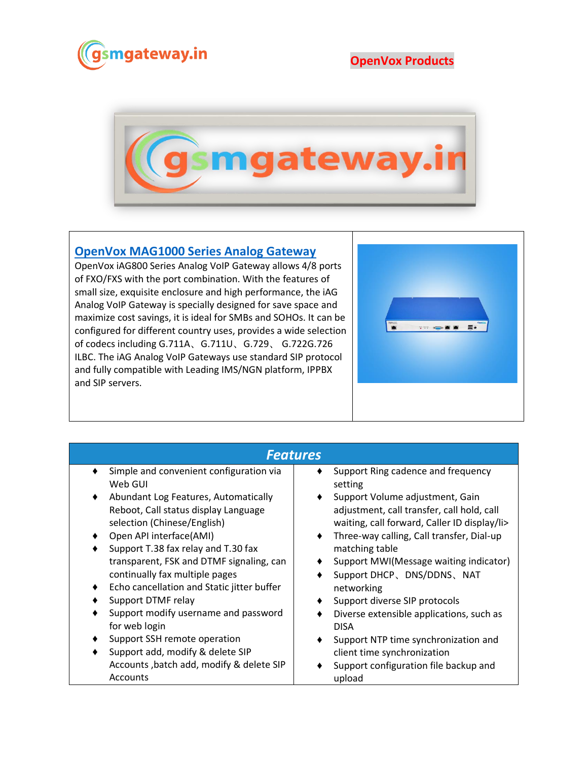

**OpenVox Products**



## **[OpenVox MAG1000 Series Analog Gateway](https://www.gsmgateway.in/openvox/OpenVox-MAG1000-Series-Analog-Gateway.html)**

OpenVox iAG800 Series Analog VoIP Gateway allows 4/8 ports of FXO/FXS with the port combination. With the features of small size, exquisite enclosure and high performance, the iAG Analog VoIP Gateway is specially designed for save space and maximize cost savings, it is ideal for SMBs and SOHOs. It can be configured for different country uses, provides a wide selection of codecs including G.711A、G.711U、G.729、 G.722G.726 ILBC. The iAG Analog VoIP Gateways use standard SIP protocol and fully compatible with Leading IMS/NGN platform, IPPBX and SIP servers.



| <b>Features</b>                                 |                                                |  |  |  |
|-------------------------------------------------|------------------------------------------------|--|--|--|
| Simple and convenient configuration via         | Support Ring cadence and frequency             |  |  |  |
| Web GUI                                         | setting                                        |  |  |  |
| Abundant Log Features, Automatically<br>٠       | Support Volume adjustment, Gain                |  |  |  |
| Reboot, Call status display Language            | adjustment, call transfer, call hold, call     |  |  |  |
| selection (Chinese/English)                     | waiting, call forward, Caller ID display/li>   |  |  |  |
| Open API interface(AMI)                         | Three-way calling, Call transfer, Dial-up<br>٠ |  |  |  |
| Support T.38 fax relay and T.30 fax             | matching table                                 |  |  |  |
| transparent, FSK and DTMF signaling, can        | Support MWI(Message waiting indicator)         |  |  |  |
| continually fax multiple pages                  | Support DHCP、DNS/DDNS、NAT                      |  |  |  |
| Echo cancellation and Static jitter buffer<br>٠ | networking                                     |  |  |  |
| Support DTMF relay                              | Support diverse SIP protocols                  |  |  |  |
| Support modify username and password            | Diverse extensible applications, such as       |  |  |  |
| for web login                                   | <b>DISA</b>                                    |  |  |  |
| Support SSH remote operation                    | Support NTP time synchronization and           |  |  |  |
| Support add, modify & delete SIP                | client time synchronization                    |  |  |  |
| Accounts, batch add, modify & delete SIP        | Support configuration file backup and          |  |  |  |
| Accounts                                        |                                                |  |  |  |
|                                                 | upload                                         |  |  |  |